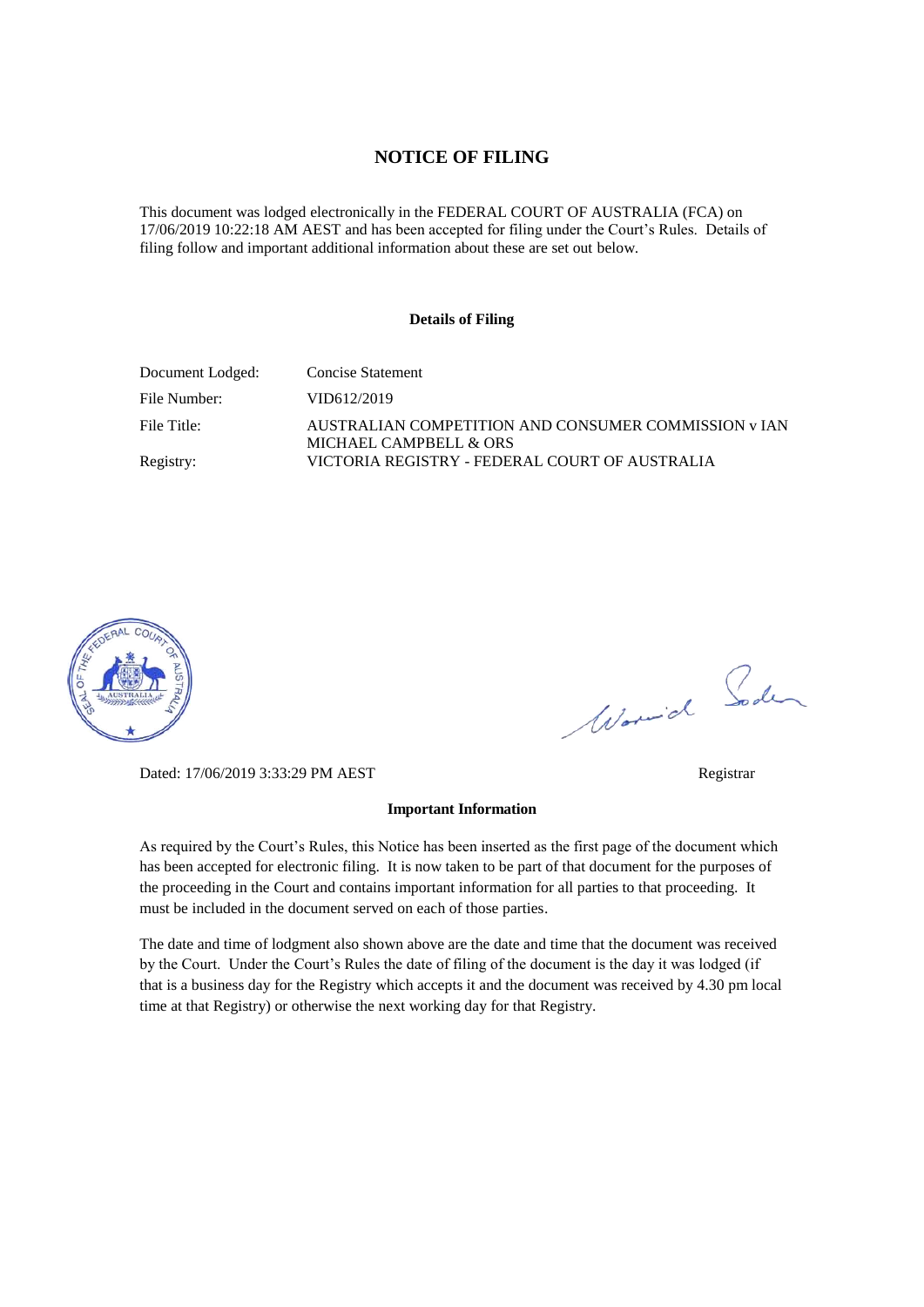#### **NOTICE OF FILING**

This document was lodged electronically in the FEDERAL COURT OF AUSTRALIA (FCA) on 17/06/2019 10:22:18 AM AEST and has been accepted for filing under the Court's Rules. Details of filing follow and important additional information about these are set out below.

#### **Details of Filing**

| Document Lodged: | Concise Statement                                                              |
|------------------|--------------------------------------------------------------------------------|
| File Number:     | VID612/2019                                                                    |
| File Title:      | AUSTRALIAN COMPETITION AND CONSUMER COMMISSION v IAN<br>MICHAEL CAMPBELL & ORS |
| Registry:        | VICTORIA REGISTRY - FEDERAL COURT OF AUSTRALIA                                 |



Worwich Soden

Dated: 17/06/2019 3:33:29 PM AEST Registrar

#### **Important Information**

As required by the Court's Rules, this Notice has been inserted as the first page of the document which has been accepted for electronic filing. It is now taken to be part of that document for the purposes of the proceeding in the Court and contains important information for all parties to that proceeding. It must be included in the document served on each of those parties.

The date and time of lodgment also shown above are the date and time that the document was received by the Court. Under the Court's Rules the date of filing of the document is the day it was lodged (if that is a business day for the Registry which accepts it and the document was received by 4.30 pm local time at that Registry) or otherwise the next working day for that Registry.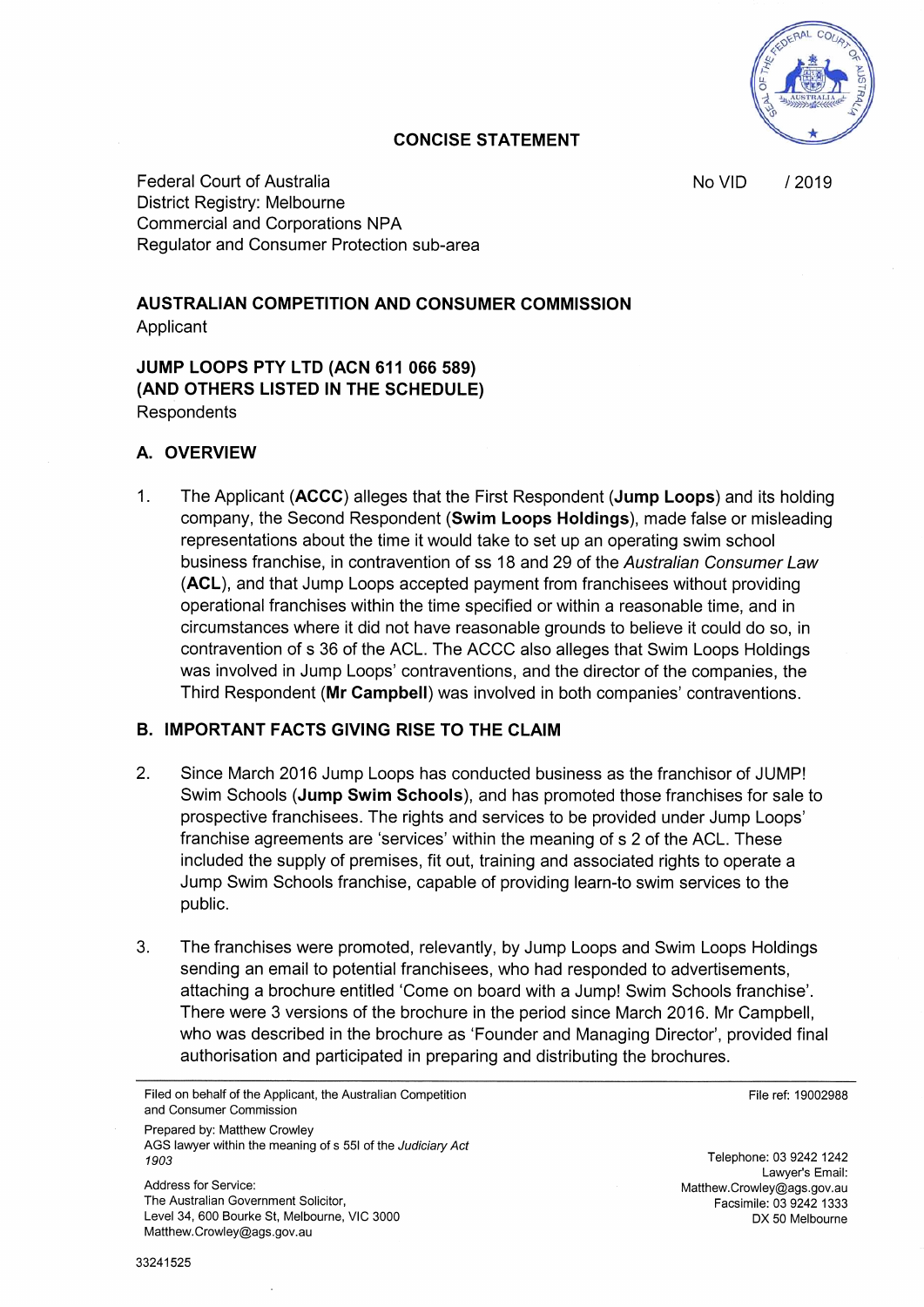No VID /2019

#### **CONCISE STATEMENT**

Federal Court of Australia District Registry: Melbourne Commercial and Corporations NPA Regulator and Consumer Protection sub−area

# **AUSTRALIAN COMPETITION AND CONSUMER COMMISSION**

Applicant

**JUMP LOOPS PTY LTD (ACN 611 066 589) (AND OTHERS LISTED IN THE SCHEDULE) Respondents** 

#### **A. OVERVIEW**

1. The Applicant **(ACCC)** alleges that the First Respondent **(Jump Loops)** and its holding company, the Second Respondent **(Swim Loops Holdings),** made false or misleading representations about the time it would take to set up an operating swim school business franchise, in contravention of ss 18 and 29 of the *Australian Consumer Law* **(ACL),** and that Jump Loops accepted payment from franchisees without providing operational franchises within the time specified or within a reasonable time, and in circumstances where it did not have reasonable grounds to believe it could do so, in contravention of s 36 of the ACL. The ACCC also alleges that Swim Loops Holdings was involved in Jump Loops' contraventions, and the director of the companies, the Third Respondent **(Mr Campbell)** was involved in both companies' contraventions.

# **B. IMPORTANT FACTS GIVING RISE TO THE CLAIM**

- 2. Since March 2016 Jump Loops has conducted business as the franchisor of JUMP! Swim Schools **(Jump Swim Schools),** and has promoted those franchises for sale to prospective franchisees. The rights and services to be provided under Jump Loops' franchise agreements are 'services' within the meaning of s 2 of the ACL. These included the supply of premises, fit out, training and associated rights to operate a Jump Swim Schools franchise, capable of providing learn−to swim services to the public.
- 3. The franchises were promoted, relevantly, by Jump Loops and Swim Loops Holdings sending an email to potential franchisees, who had responded to advertisements, attaching a brochure entitled 'Come on board with a Jump! Swim Schools franchise'. There were 3 versions of the brochure in the period since March 2016. Mr Campbell, who was described in the brochure as 'Founder and Managing Director', provided final authorisation and participated in preparing and distributing the brochures.

Prepared by: Matthew Crowley AGS lawyer within the meaning of s 551 of the *Judiciary Act 1903*

Address for Service: The Australian Government Solicitor, Level 34, 600 Bourke St, Melbourne, VIC 3000 Matthew.Crowley@ags.gov.au

File ref: 19002988

Telephone: 03 9242 1242 Lawyer's Email: Matthew.Crowley@ags.gov.au Facsimile: 03 9242 1333 DX 50 Melbourne

Filed on behalf of the Applicant, the Australian Competition and Consumer Commission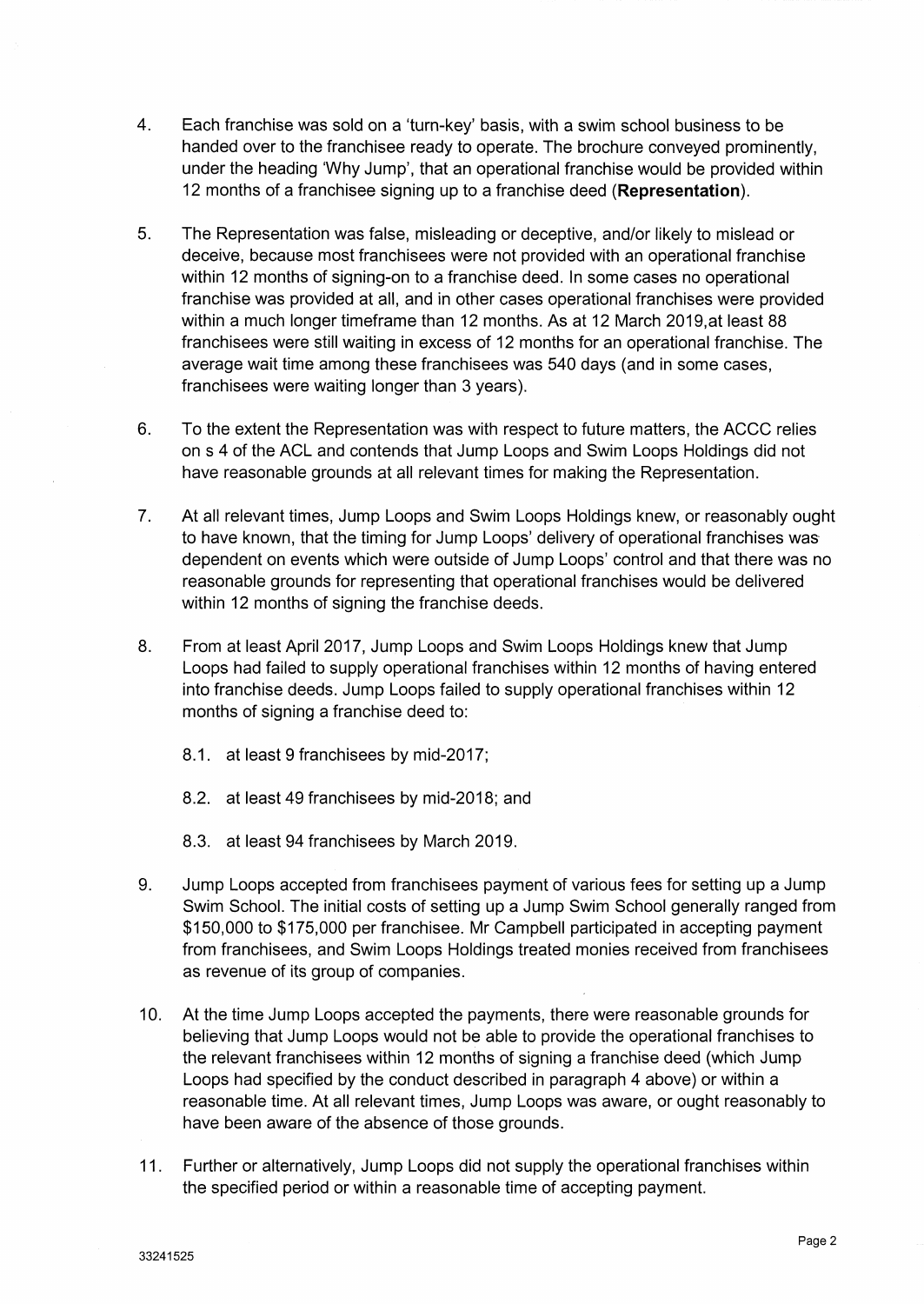- 4. Each franchise was sold on a 'turn−key' basis, with a swim school business to be handed over to the franchisee ready to operate. The brochure conveyed prominently, under the heading 'Why Jump', that an operational franchise would be provided within 12 months of a franchisee signing up to a franchise deed **(Representation).**
- 5. The Representation was false, misleading or deceptive, and/or likely to mislead or deceive, because most franchisees were not provided with an operational franchise within 12 months of signing−on to a franchise deed. In some cases no operational franchise was provided at all, and in other cases operational franchises were provided within a much longer timeframe than 12 months. As at 12 March 2019,at least 88 franchisees were still waiting in excess of 12 months for an operational franchise. The average wait time among these franchisees was 540 days (and in some cases, franchisees were waiting longer than 3 years).
- 6. To the extent the Representation was with respect to future matters, the ACCC relies on s 4 of the ACL and contends that Jump Loops and Swim Loops Holdings did not have reasonable grounds at all relevant times for making the Representation.
- 7. At all relevant times, Jump Loops and Swim Loops Holdings knew, or reasonably ought to have known, that the timing for Jump Loops' delivery of operational franchises was dependent on events which were outside of Jump Loops' control and that there was no reasonable grounds for representing that operational franchises would be delivered within 12 months of signing the franchise deeds.
- 8. From at least April 2017, Jump Loops and Swim Loops Holdings knew that Jump Loops had failed to supply operational franchises within 12 months of having entered into franchise deeds. Jump Loops failed to supply operational franchises within 12 months of signing a franchise deed to:
	- 8.1. at least 9 franchisees by mid−2017;
	- 8.2. at least 49 franchisees by mid−2018; and
	- 8.3. at least 94 franchisees by March 2019.
- 9. Jump Loops accepted from franchisees payment of various fees for setting up a Jump Swim School. The initial costs of setting up a Jump Swim School generally ranged from \$150,000 to \$175,000 per franchisee. Mr Campbell participated in accepting payment from franchisees, and Swim Loops Holdings treated monies received from franchisees as revenue of its group of companies.
- 10. At the time Jump Loops accepted the payments, there were reasonable grounds for believing that Jump Loops would not be able to provide the operational franchises to the relevant franchisees within 12 months of signing a franchise deed (which Jump Loops had specified by the conduct described in paragraph 4 above) or within a reasonable time. At all relevant times, Jump Loops was aware, or ought reasonably to have been aware of the absence of those grounds.
- 11. Further or alternatively, Jump Loops did not supply the operational franchises within the specified period or within a reasonable time of accepting payment.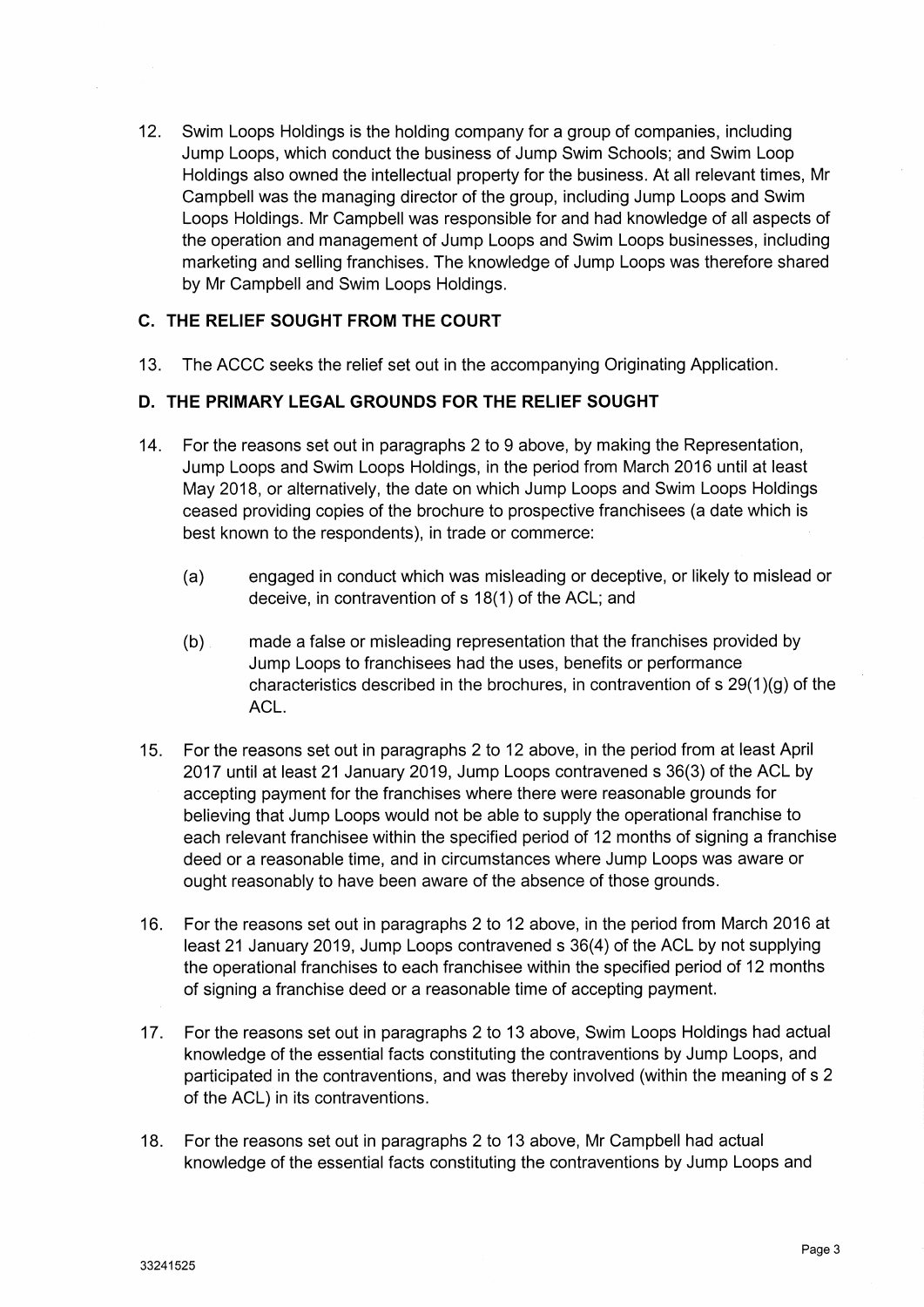12. Swim Loops Holdings is the holding company for a group of companies, including Jump Loops, which conduct the business of Jump Swim Schools; and Swim Loop Holdings also owned the intellectual property for the business. At all relevant times, Mr Campbell was the managing director of the group, including Jump Loops and Swim Loops Holdings. Mr Campbell was responsible for and had knowledge of all aspects of the operation and management of Jump Loops and Swim Loops businesses, including marketing and selling franchises. The knowledge of Jump Loops was therefore shared by Mr Campbell and Swim Loops Holdings.

## **C. THE RELIEF SOUGHT FROM THE COURT**

13. The ACCC seeks the relief set out in the accompanying Originating Application.

#### **D. THE PRIMARY LEGAL GROUNDS FOR THE RELIEF SOUGHT**

- 14. For the reasons set out in paragraphs 2 to 9 above, by making the Representation, Jump Loops and Swim Loops Holdings, in the period from March 2016 until at least May 2018, or alternatively, the date on which Jump Loops and Swim Loops Holdings ceased providing copies of the brochure to prospective franchisees (a date which is best known to the respondents), in trade or commerce:
	- (a) engaged in conduct which was misleading or deceptive, or likely to mislead or deceive, in contravention of s 18(1) of the ACL; and
	- (b) made a false or misleading representation that the franchises provided by Jump Loops to franchisees had the uses, benefits or performance characteristics described in the brochures, in contravention of s 29(1)(g) of the ACL.
- 15. For the reasons set out in paragraphs 2 to 12 above, in the period from at least April 2017 until at least 21 January 2019, Jump Loops contravened s 36(3) of the ACL by accepting payment for the franchises where there were reasonable grounds for believing that Jump Loops would not be able to supply the operational franchise to each relevant franchisee within the specified period of 12 months of signing a franchise deed or a reasonable time, and in circumstances where Jump Loops was aware or ought reasonably to have been aware of the absence of those grounds.
- 16. For the reasons set out in paragraphs 2 to 12 above, in the period from March 2016 at least 21 January 2019, Jump Loops contravened s 36(4) of the ACL by not supplying the operational franchises to each franchisee within the specified period of 12 months of signing a franchise deed or a reasonable time of accepting payment.
- 17. For the reasons set out in paragraphs 2 to 13 above, Swim Loops Holdings had actual knowledge of the essential facts constituting the contraventions by Jump Loops, and participated in the contraventions, and was thereby involved (within the meaning of s 2 of the ACL) in its contraventions.
- 18. For the reasons set out in paragraphs 2 to 13 above, Mr Campbell had actual knowledge of the essential facts constituting the contraventions by Jump Loops and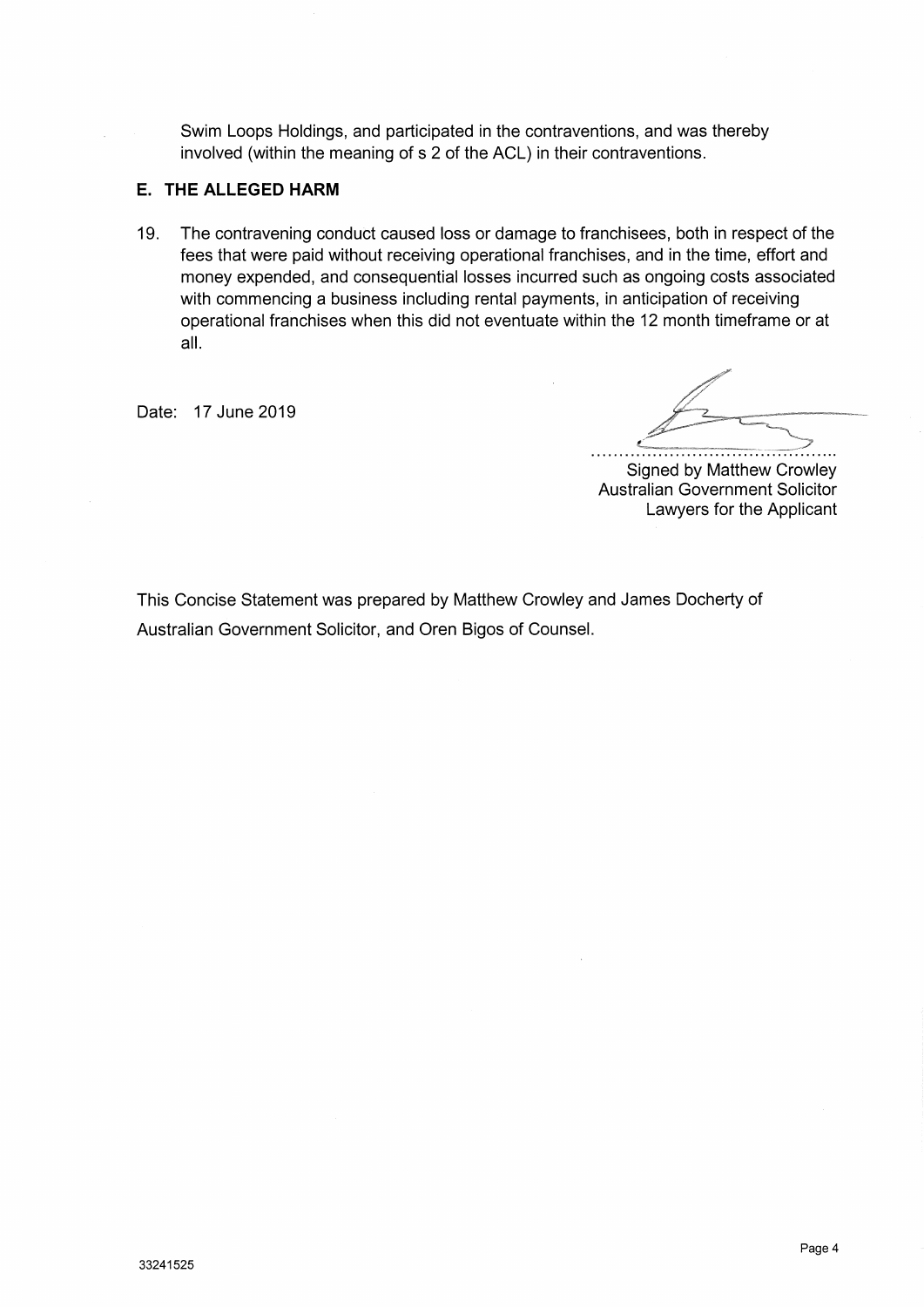Swim Loops Holdings, and participated in the contraventions, and was thereby involved (within the meaning of s 2 of the ACL) in their contraventions.

## **E. THE ALLEGED HARM**

19. The contravening conduct caused loss or damage to franchisees, both in respect of the fees that were paid without receiving operational franchises, and in the time, effort and money expended, and consequential losses incurred such as ongoing costs associated with commencing a business including rental payments, in anticipation of receiving operational franchises when this did not eventuate within the 12 month timeframe or at all.

Date: 17 June 2019

Signed by Matthew Crowley Australian Government Solicitor Lawyers for the Applicant

This Concise Statement was prepared by Matthew Crowley and James Docherty of Australian Government Solicitor, and Oren Bigos of Counsel.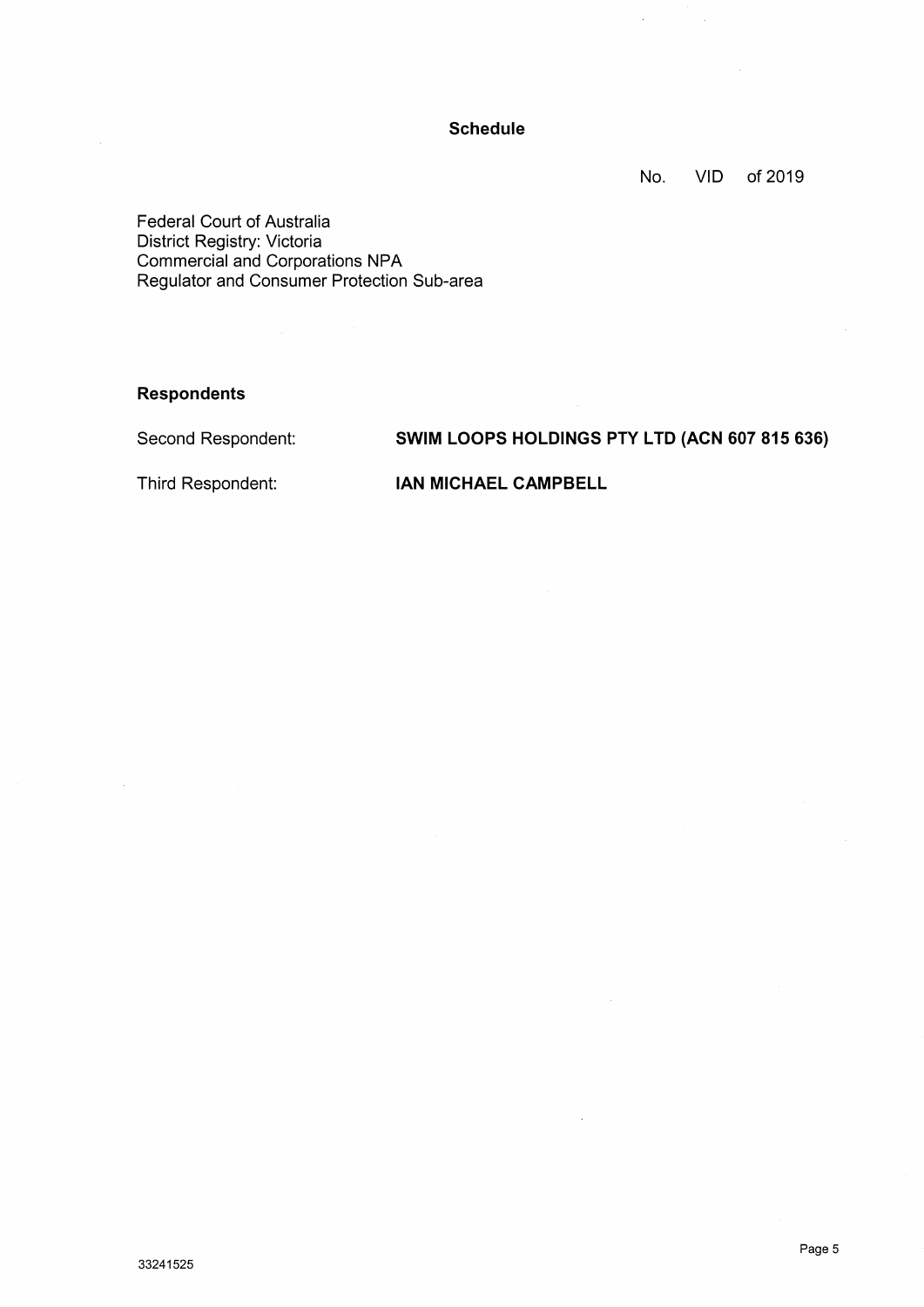## **Schedule**

No. VID of 2019

 $\overline{\phantom{a}}$ 

Federal Court of Australia District Registry: Victoria Commercial and Corporations NPA Regulator and Consumer Protection Sub−area

#### **Respondents**

Second Respondent:

# **SWIM LOOPS HOLDINGS PTY LTD (ACN 607 815 636)**

Third Respondent:

**IAN MICHAEL CAMPBELL**